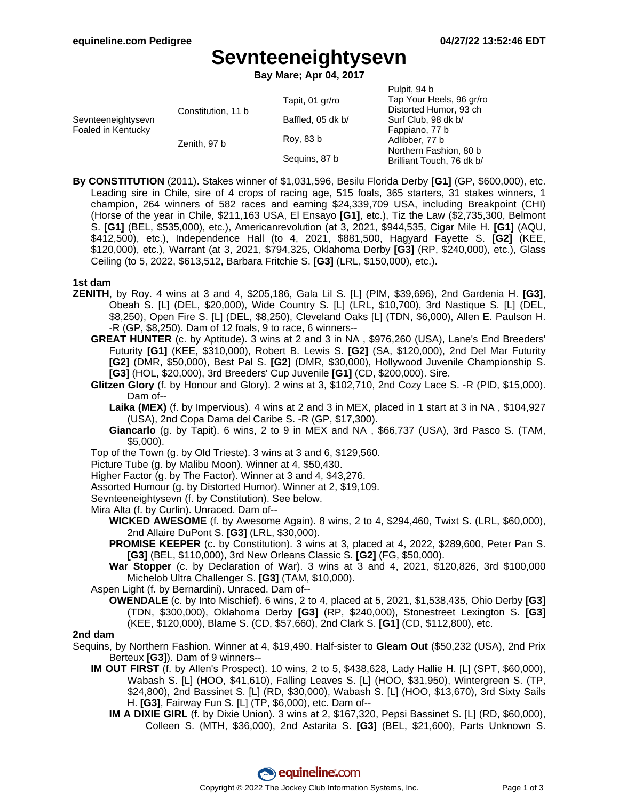# **Sevnteeneightysevn**

**Bay Mare; Apr 04, 2017**

|                                    |                    | Pulpit, 94 b              |
|------------------------------------|--------------------|---------------------------|
|                                    | Tapit, 01 gr/ro    | Tap Your Heels, 96 gr/ro  |
|                                    |                    | Distorted Humor, 93 ch    |
|                                    | Baffled, 05 dk b/  | Surf Club, 98 dk b/       |
| Foaled in Kentucky<br>Zenith, 97 b |                    | Fappiano, 77 b            |
|                                    | Roy, 83 b          | Adlibber, 77 b            |
|                                    | Seguins, 87 b      | Northern Fashion, 80 b    |
|                                    |                    | Brilliant Touch, 76 dk b/ |
|                                    | Constitution, 11 b |                           |

**By CONSTITUTION** (2011). Stakes winner of \$1,031,596, Besilu Florida Derby **[G1]** (GP, \$600,000), etc. Leading sire in Chile, sire of 4 crops of racing age, 515 foals, 365 starters, 31 stakes winners, 1 champion, 264 winners of 582 races and earning \$24,339,709 USA, including Breakpoint (CHI) (Horse of the year in Chile, \$211,163 USA, El Ensayo **[G1]**, etc.), Tiz the Law (\$2,735,300, Belmont S. **[G1]** (BEL, \$535,000), etc.), Americanrevolution (at 3, 2021, \$944,535, Cigar Mile H. **[G1]** (AQU, \$412,500), etc.), Independence Hall (to 4, 2021, \$881,500, Hagyard Fayette S. **[G2]** (KEE, \$120,000), etc.), Warrant (at 3, 2021, \$794,325, Oklahoma Derby **[G3]** (RP, \$240,000), etc.), Glass Ceiling (to 5, 2022, \$613,512, Barbara Fritchie S. **[G3]** (LRL, \$150,000), etc.).

## **1st dam**

- **ZENITH**, by Roy. 4 wins at 3 and 4, \$205,186, Gala Lil S. [L] (PIM, \$39,696), 2nd Gardenia H. **[G3]**, Obeah S. [L] (DEL, \$20,000), Wide Country S. [L] (LRL, \$10,700), 3rd Nastique S. [L] (DEL, \$8,250), Open Fire S. [L] (DEL, \$8,250), Cleveland Oaks [L] (TDN, \$6,000), Allen E. Paulson H. -R (GP, \$8,250). Dam of 12 foals, 9 to race, 6 winners--
	- **GREAT HUNTER** (c. by Aptitude). 3 wins at 2 and 3 in NA , \$976,260 (USA), Lane's End Breeders' Futurity **[G1]** (KEE, \$310,000), Robert B. Lewis S. **[G2]** (SA, \$120,000), 2nd Del Mar Futurity **[G2]** (DMR, \$50,000), Best Pal S. **[G2]** (DMR, \$30,000), Hollywood Juvenile Championship S. **[G3]** (HOL, \$20,000), 3rd Breeders' Cup Juvenile **[G1]** (CD, \$200,000). Sire.
	- **Glitzen Glory** (f. by Honour and Glory). 2 wins at 3, \$102,710, 2nd Cozy Lace S. -R (PID, \$15,000). Dam of--
		- **Laika (MEX)** (f. by Impervious). 4 wins at 2 and 3 in MEX, placed in 1 start at 3 in NA , \$104,927 (USA), 2nd Copa Dama del Caribe S. -R (GP, \$17,300).
		- **Giancarlo** (g. by Tapit). 6 wins, 2 to 9 in MEX and NA , \$66,737 (USA), 3rd Pasco S. (TAM, \$5,000).
	- Top of the Town (g. by Old Trieste). 3 wins at 3 and 6, \$129,560.
	- Picture Tube (g. by Malibu Moon). Winner at 4, \$50,430.
	- Higher Factor (g. by The Factor). Winner at 3 and 4, \$43,276.
	- Assorted Humour (g. by Distorted Humor). Winner at 2, \$19,109.
	- Sevnteeneightysevn (f. by Constitution). See below.
	- Mira Alta (f. by Curlin). Unraced. Dam of--
		- **WICKED AWESOME** (f. by Awesome Again). 8 wins, 2 to 4, \$294,460, Twixt S. (LRL, \$60,000), 2nd Allaire DuPont S. **[G3]** (LRL, \$30,000).
		- **PROMISE KEEPER** (c. by Constitution). 3 wins at 3, placed at 4, 2022, \$289,600, Peter Pan S. **[G3]** (BEL, \$110,000), 3rd New Orleans Classic S. **[G2]** (FG, \$50,000).
		- **War Stopper** (c. by Declaration of War). 3 wins at 3 and 4, 2021, \$120,826, 3rd \$100,000 Michelob Ultra Challenger S. **[G3]** (TAM, \$10,000).
	- Aspen Light (f. by Bernardini). Unraced. Dam of--
		- **OWENDALE** (c. by Into Mischief). 6 wins, 2 to 4, placed at 5, 2021, \$1,538,435, Ohio Derby **[G3]** (TDN, \$300,000), Oklahoma Derby **[G3]** (RP, \$240,000), Stonestreet Lexington S. **[G3]** (KEE, \$120,000), Blame S. (CD, \$57,660), 2nd Clark S. **[G1]** (CD, \$112,800), etc.

## **2nd dam**

- Sequins, by Northern Fashion. Winner at 4, \$19,490. Half-sister to **Gleam Out** (\$50,232 (USA), 2nd Prix Berteux **[G3]**). Dam of 9 winners--
	- **IM OUT FIRST** (f. by Allen's Prospect). 10 wins, 2 to 5, \$438,628, Lady Hallie H. [L] (SPT, \$60,000), Wabash S. [L] (HOO, \$41,610), Falling Leaves S. [L] (HOO, \$31,950), Wintergreen S. (TP, \$24,800), 2nd Bassinet S. [L] (RD, \$30,000), Wabash S. [L] (HOO, \$13,670), 3rd Sixty Sails H. **[G3]**, Fairway Fun S. [L] (TP, \$6,000), etc. Dam of--
		- **IM A DIXIE GIRL** (f. by Dixie Union). 3 wins at 2, \$167,320, Pepsi Bassinet S. [L] (RD, \$60,000), Colleen S. (MTH, \$36,000), 2nd Astarita S. **[G3]** (BEL, \$21,600), Parts Unknown S.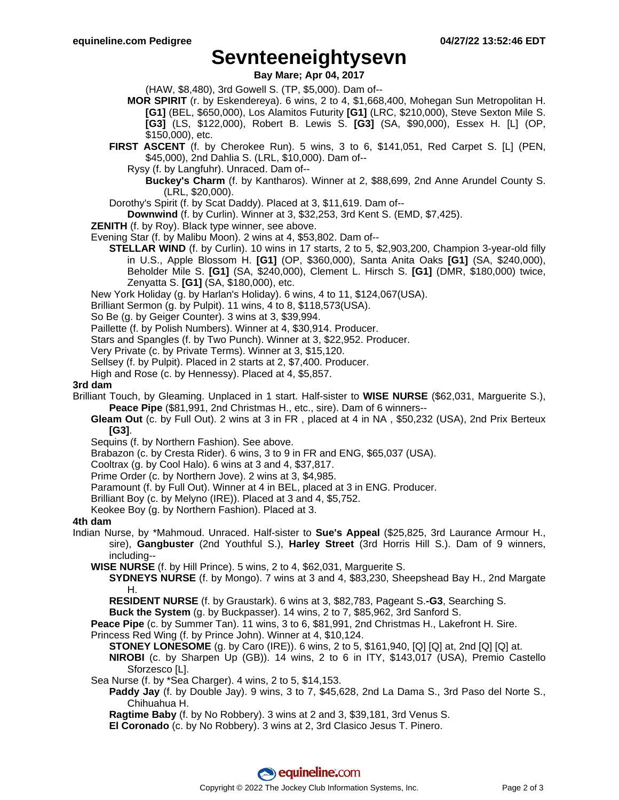## **Sevnteeneightysevn**

**Bay Mare; Apr 04, 2017**

(HAW, \$8,480), 3rd Gowell S. (TP, \$5,000). Dam of--

- **MOR SPIRIT** (r. by Eskendereya). 6 wins, 2 to 4, \$1,668,400, Mohegan Sun Metropolitan H. **[G1]** (BEL, \$650,000), Los Alamitos Futurity **[G1]** (LRC, \$210,000), Steve Sexton Mile S. **[G3]** (LS, \$122,000), Robert B. Lewis S. **[G3]** (SA, \$90,000), Essex H. [L] (OP, \$150,000), etc.
- **FIRST ASCENT** (f. by Cherokee Run). 5 wins, 3 to 6, \$141,051, Red Carpet S. [L] (PEN, \$45,000), 2nd Dahlia S. (LRL, \$10,000). Dam of--
	- Rysy (f. by Langfuhr). Unraced. Dam of--
		- **Buckey's Charm** (f. by Kantharos). Winner at 2, \$88,699, 2nd Anne Arundel County S. (LRL, \$20,000).
- Dorothy's Spirit (f. by Scat Daddy). Placed at 3, \$11,619. Dam of--
- **Downwind** (f. by Curlin). Winner at 3, \$32,253, 3rd Kent S. (EMD, \$7,425).
- **ZENITH** (f. by Roy). Black type winner, see above.
- Evening Star (f. by Malibu Moon). 2 wins at 4, \$53,802. Dam of--
	- **STELLAR WIND** (f. by Curlin). 10 wins in 17 starts, 2 to 5, \$2,903,200, Champion 3-year-old filly in U.S., Apple Blossom H. **[G1]** (OP, \$360,000), Santa Anita Oaks **[G1]** (SA, \$240,000), Beholder Mile S. **[G1]** (SA, \$240,000), Clement L. Hirsch S. **[G1]** (DMR, \$180,000) twice, Zenyatta S. **[G1]** (SA, \$180,000), etc.
- New York Holiday (g. by Harlan's Holiday). 6 wins, 4 to 11, \$124,067(USA).
- Brilliant Sermon (g. by Pulpit). 11 wins, 4 to 8, \$118,573(USA).
- So Be (g. by Geiger Counter). 3 wins at 3, \$39,994.
- Paillette (f. by Polish Numbers). Winner at 4, \$30,914. Producer.
- Stars and Spangles (f. by Two Punch). Winner at 3, \$22,952. Producer.
- Very Private (c. by Private Terms). Winner at 3, \$15,120.
- Sellsey (f. by Pulpit). Placed in 2 starts at 2, \$7,400. Producer.
- High and Rose (c. by Hennessy). Placed at 4, \$5,857.

#### **3rd dam**

- Brilliant Touch, by Gleaming. Unplaced in 1 start. Half-sister to **WISE NURSE** (\$62,031, Marguerite S.), **Peace Pipe** (\$81,991, 2nd Christmas H., etc., sire). Dam of 6 winners--
	- **Gleam Out** (c. by Full Out). 2 wins at 3 in FR , placed at 4 in NA , \$50,232 (USA), 2nd Prix Berteux **[G3]**.
	- Sequins (f. by Northern Fashion). See above.
	- Brabazon (c. by Cresta Rider). 6 wins, 3 to 9 in FR and ENG, \$65,037 (USA).
	- Cooltrax (g. by Cool Halo). 6 wins at 3 and 4, \$37,817.
	- Prime Order (c. by Northern Jove). 2 wins at 3, \$4,985.
	- Paramount (f. by Full Out). Winner at 4 in BEL, placed at 3 in ENG. Producer.
	- Brilliant Boy (c. by Melyno (IRE)). Placed at 3 and 4, \$5,752.
	- Keokee Boy (g. by Northern Fashion). Placed at 3.

#### **4th dam**

- Indian Nurse, by \*Mahmoud. Unraced. Half-sister to **Sue's Appeal** (\$25,825, 3rd Laurance Armour H., sire), **Gangbuster** (2nd Youthful S.), **Harley Street** (3rd Horris Hill S.). Dam of 9 winners, including--
	- **WISE NURSE** (f. by Hill Prince). 5 wins, 2 to 4, \$62,031, Marguerite S.
		- **SYDNEYS NURSE** (f. by Mongo). 7 wins at 3 and 4, \$83,230, Sheepshead Bay H., 2nd Margate H.
		- **RESIDENT NURSE** (f. by Graustark). 6 wins at 3, \$82,783, Pageant S.**-G3**, Searching S.

**Buck the System** (g. by Buckpasser). 14 wins, 2 to 7, \$85,962, 3rd Sanford S.

**Peace Pipe** (c. by Summer Tan). 11 wins, 3 to 6, \$81,991, 2nd Christmas H., Lakefront H. Sire. Princess Red Wing (f. by Prince John). Winner at 4, \$10,124.

**STONEY LONESOME** (g. by Caro (IRE)). 6 wins, 2 to 5, \$161,940, [Q] [Q] at, 2nd [Q] [Q] at.

**NIROBI** (c. by Sharpen Up (GB)). 14 wins, 2 to 6 in ITY, \$143,017 (USA), Premio Castello Sforzesco [L].

- Sea Nurse (f. by \*Sea Charger). 4 wins, 2 to 5, \$14,153.
	- **Paddy Jay** (f. by Double Jay). 9 wins, 3 to 7, \$45,628, 2nd La Dama S., 3rd Paso del Norte S., Chihuahua H.

**Ragtime Baby** (f. by No Robbery). 3 wins at 2 and 3, \$39,181, 3rd Venus S.

**El Coronado** (c. by No Robbery). 3 wins at 2, 3rd Clasico Jesus T. Pinero.